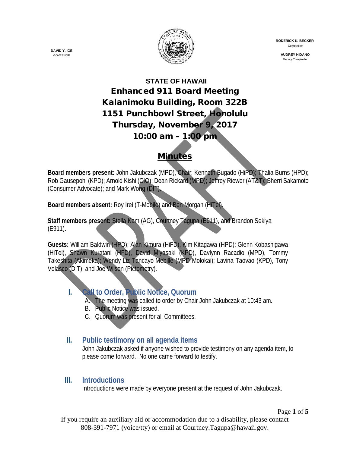

 **RODERICK K. BECKER** Comptroller

> **AUDREY HIDANO** Deputy Comptroller

# **STATE OF HAWAII** Enhanced 911 Board Meeting Kalanimoku Building, Room 322B 1151 Punchbowl Street, Honolulu Thursday, November 9, 2017 10:00 am – 1:00 pm

# **Minutes**

**Board members present:** John Jakubczak (MPD), Chair; Kenneth Bugado (HiPD); Thalia Burns (HPD); Rob Gausepohl (KPD); Arnold Kishi (CIO); Dean Rickard (MPD); Jeffrey Riewer (AT&T); Sherri Sakamoto (Consumer Advocate); and Mark Wong (DIT).

**Board members absent:** Roy Irei (T-Mobile) and Ben Morgan (HiTel).

**Staff members present:** Stella Kam (AG), Courtney Tagupa (E911), and Brandon Sekiya (E911).

**Guests:** William Baldwin (HPD); Alan Kimura (HiFD), Kim Kitagawa (HPD); Glenn Kobashigawa (HiTel), Shawn Kuratani (HFD), David Miyasaki (KPD), Davlynn Racadio (MPD), Tommy Takeshita (Akimeka); Wendy-Liz Tancayo-Mebille (MPD Molokai); Lavina Taovao (KPD), Tony Velasco (DIT); and Joe Wilson (Pictometry).

# **I. Call to Order, Public Notice, Quorum**

- A. The meeting was called to order by Chair John Jakubczak at 10:43 am.
- B. Public Notice was issued.
- C. Quorum was present for all Committees.

# **II. Public testimony on all agenda items**

John Jakubczak asked if anyone wished to provide testimony on any agenda item, to please come forward. No one came forward to testify.

#### **III. Introductions**

Introductions were made by everyone present at the request of John Jakubczak.

Page **1** of **5**

If you require an auxiliary aid or accommodation due to a disability, please contact 808-391-7971 (voice/tty) or email at Courtney.Tagupa@hawaii.gov.

**DAVID Y. IGE** GOVERNOR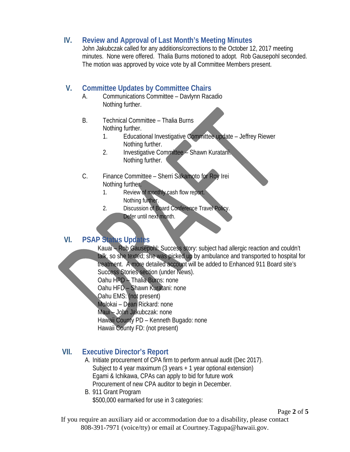#### **IV. Review and Approval of Last Month's Meeting Minutes**

John Jakubczak called for any additions/corrections to the October 12, 2017 meeting minutes. None were offered. Thalia Burns motioned to adopt. Rob Gausepohl seconded. The motion was approved by voice vote by all Committee Members present.

#### **V. Committee Updates by Committee Chairs**

- A. Communications Committee Davlynn Racadio Nothing further.
- B. Technical Committee Thalia Burns Nothing further.
	- 1. Educational Investigative Committee update Jeffrey Riewer Nothing further.
	- 2. Investigative Committee Shawn Kuratani. Nothing further.
- C. Finance Committee Sherri Sakamoto for Roy Irei Nothing further.
	- 1. Review of monthly cash flow report. Nothing further.
	- 2. Discussion of Board Conference Travel Policy. Defer until next month.

#### **VI. PSAP Status Updates**

Kauai – Rob Gausepohl: Success story: subject had allergic reaction and couldn't talk, so she texted; she was picked up by ambulance and transported to hospital for treatment. A more detailed account will be added to Enhanced 911 Board site's Success Stories section (under News).

Oahu HPD – Thalia Burns: none

Oahu HFD – Shawn Kuratani: none

- Oahu EMS: (not present)
- Molokai Dean Rickard: none
- Maui John Jakubczak: none
- Hawaii County PD Kenneth Bugado: none
- Hawaii County FD: (not present)

# **VII. Executive Director's Report**

- A. Initiate procurement of CPA firm to perform annual audit (Dec 2017). Subject to 4 year maximum (3 years + 1 year optional extension) Egami & Ichikawa, CPAs can apply to bid for future work Procurement of new CPA auditor to begin in December.
- B. 911 Grant Program \$500,000 earmarked for use in 3 categories:

Page **2** of **5**

If you require an auxiliary aid or accommodation due to a disability, please contact 808-391-7971 (voice/tty) or email at Courtney.Tagupa@hawaii.gov.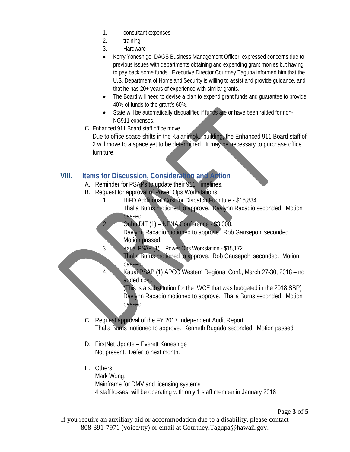- 1. consultant expenses
- 2. training
- 3. Hardware
- Kerry Yoneshige, DAGS Business Management Officer, expressed concerns due to previous issues with departments obtaining and expending grant monies but having to pay back some funds. Executive Director Courtney Tagupa informed him that the U.S. Department of Homeland Security is willing to assist and provide guidance, and that he has 20+ years of experience with similar grants.
- The Board will need to devise a plan to expend grant funds and quarantee to provide 40% of funds to the grant's 60%.
- State will be automatically disqualified if funds are or have been raided for non-NG911 expenses.
- C. Enhanced 911 Board staff office move

Due to office space shifts in the Kalanimoku building, the Enhanced 911 Board staff of 2 will move to a space yet to be determined. It may be necessary to purchase office furniture.

### **VIII. Items for Discussion, Consideration and Action**

- A. Reminder for PSAPs to update their 911 Timelines.
- B. Request for approval of Power Ops Workstations
	- 1. HiFD Additional Cost for Dispatch Furniture \$15,834. Thalia Burns motioned to approve. Davlynn Racadio seconded. Motion passed.
	- 2. Oahu DIT (1) NENA Conference \$3,000.

Davlynn Racadio motioned to approve. Rob Gausepohl seconded. Motion passed.

- 3. Kauai PSAP (1) Power Ops Workstation \$15,172.
	- Thalia Burns motioned to approve. Rob Gausepohl seconded. Motion passed.
- 4. Kauai PSAP (1) APCO Western Regional Conf., March 27-30, 2018 no added cost.

(This is a substitution for the IWCE that was budgeted in the 2018 SBP) Davlynn Racadio motioned to approve. Thalia Burns seconded. Motion passed.

- C. Request approval of the FY 2017 Independent Audit Report. Thalia Burns motioned to approve. Kenneth Bugado seconded. Motion passed.
- D. FirstNet Update Everett Kaneshige Not present. Defer to next month.
- E. Others.
	- Mark Wong:

Mainframe for DMV and licensing systems 4 staff losses; will be operating with only 1 staff member in January 2018

Page **3** of **5**

If you require an auxiliary aid or accommodation due to a disability, please contact 808-391-7971 (voice/tty) or email at Courtney.Tagupa@hawaii.gov.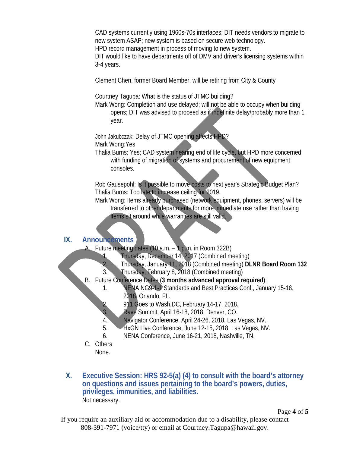CAD systems currently using 1960s-70s interfaces; DIT needs vendors to migrate to new system ASAP; new system is based on secure web technology. HPD record management in process of moving to new system.

DIT would like to have departments off of DMV and driver's licensing systems within 3-4 years.

Clement Chen, former Board Member, will be retiring from City & County

Courtney Tagupa: What is the status of JTMC building?

Mark Wong: Completion and use delayed; will not be able to occupy when building opens; DIT was advised to proceed as if indefinite delay/probably more than 1 year.

John Jakubczak: Delay of JTMC opening affects HPD? Mark Wong:Yes

Thalia Burns: Yes; CAD system nearing end of life cycle, but HPD more concerned with funding of migration of systems and procurement of new equipment consoles.

Rob Gausepohl: Is it possible to move costs to next year's Strategic Budget Plan? Thalia Burns: Too late to increase ceiling for 2019.

Mark Wong: Items already purchased (network equipment, phones, servers) will be transferred to other departments for more immediate use rather than having items sit around while warranties are still valid.

#### **IX. Announcements**

Future meeting dates (10  $a.m. - 1$  p.m. in Room 322B)

- 1. Thursday, December 14, 2017 (Combined meeting)
- 2. Thursday, January 11, 2018 (Combined meeting) **DLNR Board Room 132**
- 3. Thursday, February 8, 2018 (Combined meeting)
- B. Future Conference Dates (**3 months advanced approval required**):
	- 1. NENA NG9-1-1 Standards and Best Practices Conf., January 15-18, 2018, Orlando, FL.
	- 2. 911 Goes to Wash.DC, February 14-17, 2018.
	- 3. Rave Summit, April 16-18, 2018, Denver, CO.
	- 4. Navigator Conference, April 24-26, 2018, Las Vegas, NV.
	- 5. HxGN Live Conference, June 12-15, 2018, Las Vegas, NV.
	- 6. NENA Conference, June 16-21, 2018, Nashville, TN.
- C. Others None.
- **X. Executive Session: HRS 92-5(a) (4) to consult with the board's attorney on questions and issues pertaining to the board's powers, duties, privileges, immunities, and liabilities.** Not necessary.

Page **4** of **5**

If you require an auxiliary aid or accommodation due to a disability, please contact 808-391-7971 (voice/tty) or email at Courtney.Tagupa@hawaii.gov.